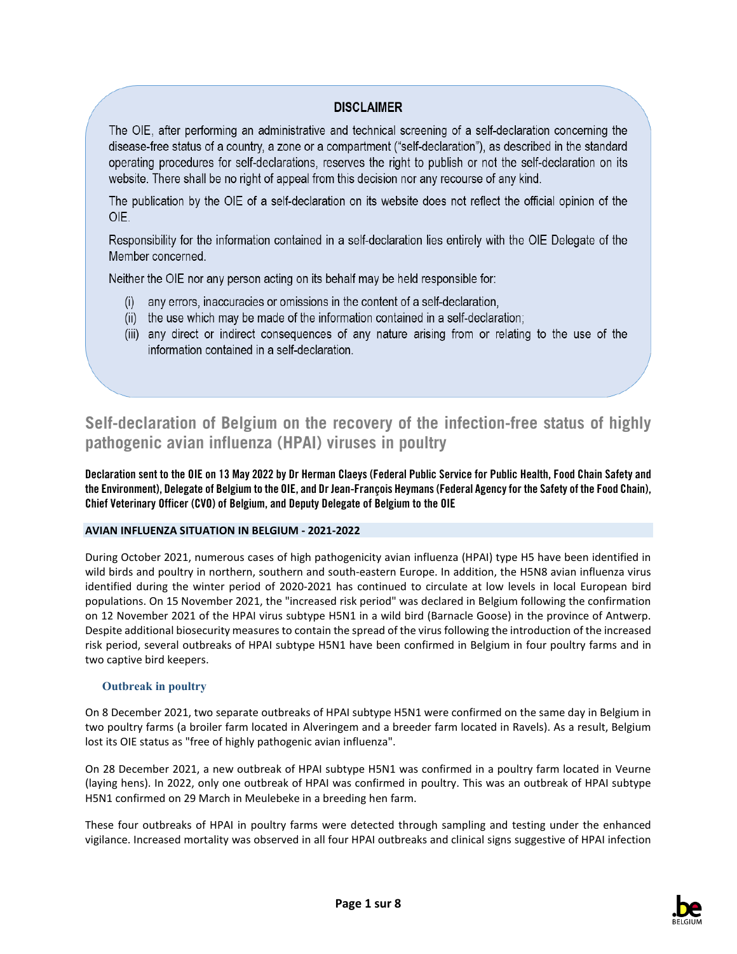### **DISCLAIMER**

The OIE, after performing an administrative and technical screening of a self-declaration concerning the disease-free status of a country, a zone or a compartment ("self-declaration"), as described in the standard operating procedures for self-declarations, reserves the right to publish or not the self-declaration on its website. There shall be no right of appeal from this decision nor any recourse of any kind.

The publication by the OIE of a self-declaration on its website does not reflect the official opinion of the OIE.

Responsibility for the information contained in a self-declaration lies entirely with the OIE Delegate of the Member concerned

Neither the OIE nor any person acting on its behalf may be held responsible for:

- (i) any errors, inaccuracies or omissions in the content of a self-declaration,
- (ii) the use which may be made of the information contained in a self-declaration;
- (iii) any direct or indirect consequences of any nature arising from or relating to the use of the information contained in a self-declaration.

# **Self-declaration of Belgium on the recovery of the infection-free status of highly pathogenic avian influenza (HPAI) viruses in poultry**

**Declaration sent to the OIE on 13 May 2022 by Dr Herman Claeys (Federal Public Service for Public Health, Food Chain Safety and the Environment), Delegate of Belgium to the OIE, and Dr Jean-François Heymans (Federal Agency for the Safety of the Food Chain), Chief Veterinary Officer (CVO) of Belgium, and Deputy Delegate of Belgium to the OIE**

### **AVIAN INFLUENZA SITUATION IN BELGIUM - 2021-2022**

During October 2021, numerous cases of high pathogenicity avian influenza (HPAI) type H5 have been identified in wild birds and poultry in northern, southern and south-eastern Europe. In addition, the H5N8 avian influenza virus identified during the winter period of 2020-2021 has continued to circulate at low levels in local European bird populations. On 15 November 2021, the "increased risk period" was declared in Belgium following the confirmation on 12 November 2021 of the HPAI virus subtype H5N1 in a wild bird (Barnacle Goose) in the province of Antwerp. Despite additional biosecurity measures to contain the spread of the virus following the introduction of the increased risk period, several outbreaks of HPAI subtype H5N1 have been confirmed in Belgium in four poultry farms and in two captive bird keepers.

#### **Outbreak in poultry**

On 8 December 2021, two separate outbreaks of HPAI subtype H5N1 were confirmed on the same day in Belgium in two poultry farms (a broiler farm located in Alveringem and a breeder farm located in Ravels). As a result, Belgium lost its OIE status as "free of highly pathogenic avian influenza".

On 28 December 2021, a new outbreak of HPAI subtype H5N1 was confirmed in a poultry farm located in Veurne (laying hens). In 2022, only one outbreak of HPAI was confirmed in poultry. This was an outbreak of HPAI subtype H5N1 confirmed on 29 March in Meulebeke in a breeding hen farm.

These four outbreaks of HPAI in poultry farms were detected through sampling and testing under the enhanced vigilance. Increased mortality was observed in all four HPAI outbreaks and clinical signs suggestive of HPAI infection

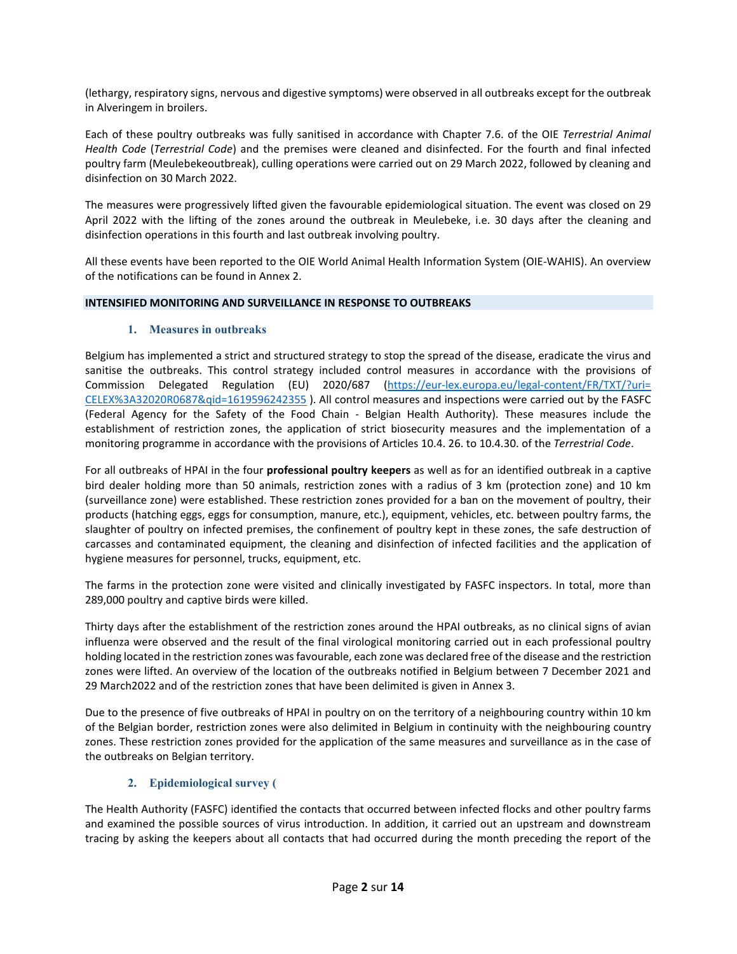(lethargy, respiratory signs, nervous and digestive symptoms) were observed in all outbreaks except for the outbreak in Alveringem in broilers.

Each of these poultry outbreaks was fully sanitised in accordance with Chapter 7.6. of the OIE *Terrestrial Animal Health Code* (*Terrestrial Code*) and the premises were cleaned and disinfected. For the fourth and final infected poultry farm (Meulebekeoutbreak), culling operations were carried out on 29 March 2022, followed by cleaning and disinfection on 30 March 2022.

The measures were progressively lifted given the favourable epidemiological situation. The event was closed on 29 April 2022 with the lifting of the zones around the outbreak in Meulebeke, i.e. 30 days after the cleaning and disinfection operations in this fourth and last outbreak involving poultry.

All these events have been reported to the OIE World Animal Health Information System (OIE-WAHIS). An overview of the notifications can be found in Annex 2.

#### **INTENSIFIED MONITORING AND SURVEILLANCE IN RESPONSE TO OUTBREAKS**

#### **1. Measures in outbreaks**

Belgium has implemented a strict and structured strategy to stop the spread of the disease, eradicate the virus and sanitise the outbreaks. This control strategy included control measures in accordance with the provisions of Commission Delegated Regulation (EU) 2020/687 [\(https://eur-lex.europa.eu/legal-content/FR/TXT/?uri=](https://eur-lex.europa.eu/legal-content/FR/TXT/?uri=CELEX%3A32020R0687&qid=1619596242355) [CELEX%3A32020R0687&qid=1619596242355](https://eur-lex.europa.eu/legal-content/FR/TXT/?uri=CELEX%3A32020R0687&qid=1619596242355) ). All control measures and inspections were carried out by the FASFC (Federal Agency for the Safety of the Food Chain - Belgian Health Authority). These measures include the establishment of restriction zones, the application of strict biosecurity measures and the implementation of a monitoring programme in accordance with the provisions of Articles 10.4. 26. to 10.4.30. of the *Terrestrial Code*.

For all outbreaks of HPAI in the four **professional poultry keepers** as well as for an identified outbreak in a captive bird dealer holding more than 50 animals, restriction zones with a radius of 3 km (protection zone) and 10 km (surveillance zone) were established. These restriction zones provided for a ban on the movement of poultry, their products (hatching eggs, eggs for consumption, manure, etc.), equipment, vehicles, etc. between poultry farms, the slaughter of poultry on infected premises, the confinement of poultry kept in these zones, the safe destruction of carcasses and contaminated equipment, the cleaning and disinfection of infected facilities and the application of hygiene measures for personnel, trucks, equipment, etc.

The farms in the protection zone were visited and clinically investigated by FASFC inspectors. In total, more than 289,000 poultry and captive birds were killed.

Thirty days after the establishment of the restriction zones around the HPAI outbreaks, as no clinical signs of avian influenza were observed and the result of the final virological monitoring carried out in each professional poultry holding located in the restriction zones was favourable, each zone was declared free of the disease and the restriction zones were lifted. An overview of the location of the outbreaks notified in Belgium between 7 December 2021 and 29 March2022 and of the restriction zones that have been delimited is given in Annex 3.

Due to the presence of five outbreaks of HPAI in poultry on on the territory of a neighbouring country within 10 km of the Belgian border, restriction zones were also delimited in Belgium in continuity with the neighbouring country zones. These restriction zones provided for the application of the same measures and surveillance as in the case of the outbreaks on Belgian territory.

#### **2. Epidemiological survey (**

The Health Authority (FASFC) identified the contacts that occurred between infected flocks and other poultry farms and examined the possible sources of virus introduction. In addition, it carried out an upstream and downstream tracing by asking the keepers about all contacts that had occurred during the month preceding the report of the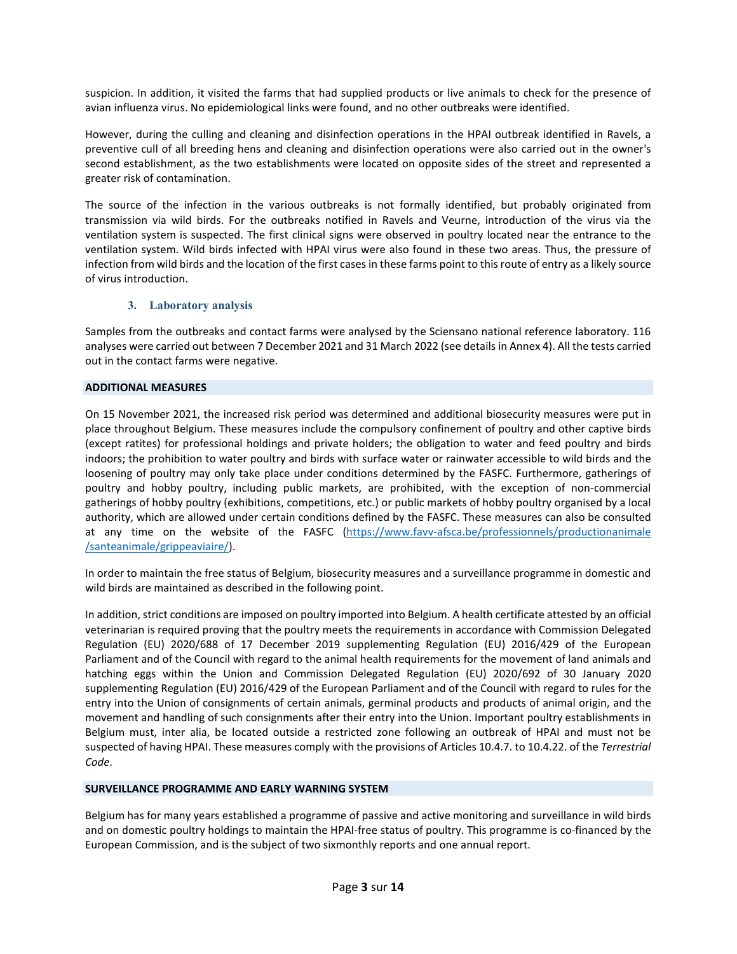suspicion. In addition, it visited the farms that had supplied products or live animals to check for the presence of avian influenza virus. No epidemiological links were found, and no other outbreaks were identified.

However, during the culling and cleaning and disinfection operations in the HPAI outbreak identified in Ravels, a preventive cull of all breeding hens and cleaning and disinfection operations were also carried out in the owner's second establishment, as the two establishments were located on opposite sides of the street and represented a greater risk of contamination.

The source of the infection in the various outbreaks is not formally identified, but probably originated from transmission via wild birds. For the outbreaks notified in Ravels and Veurne, introduction of the virus via the ventilation system is suspected. The first clinical signs were observed in poultry located near the entrance to the ventilation system. Wild birds infected with HPAI virus were also found in these two areas. Thus, the pressure of infection from wild birds and the location of the first cases in these farms point to this route of entry as a likely source of virus introduction.

### **3. Laboratory analysis**

Samples from the outbreaks and contact farms were analysed by the Sciensano national reference laboratory. 116 analyses were carried out between 7 December 2021 and 31 March 2022 (see details in Annex 4). All the tests carried out in the contact farms were negative.

#### **ADDITIONAL MEASURES**

On 15 November 2021, the increased risk period was determined and additional biosecurity measures were put in place throughout Belgium. These measures include the compulsory confinement of poultry and other captive birds (except ratites) for professional holdings and private holders; the obligation to water and feed poultry and birds indoors; the prohibition to water poultry and birds with surface water or rainwater accessible to wild birds and the loosening of poultry may only take place under conditions determined by the FASFC. Furthermore, gatherings of poultry and hobby poultry, including public markets, are prohibited, with the exception of non-commercial gatherings of hobby poultry (exhibitions, competitions, etc.) or public markets of hobby poultry organised by a local authority, which are allowed under certain conditions defined by the FASFC. These measures can also be consulted at any time on the website of the FASFC [\(https://www.favv-afsca.be/professionnels/productionanimale](https://www.favv-afsca.be/professionnels/productionanimale%0b/santeanimale/grippeaviaire/) [/santeanimale/grippeaviaire/\)](https://www.favv-afsca.be/professionnels/productionanimale%0b/santeanimale/grippeaviaire/).

In order to maintain the free status of Belgium, biosecurity measures and a surveillance programme in domestic and wild birds are maintained as described in the following point.

In addition, strict conditions are imposed on poultry imported into Belgium. A health certificate attested by an official veterinarian is required proving that the poultry meets the requirements in accordance with Commission Delegated Regulation (EU) 2020/688 of 17 December 2019 supplementing Regulation (EU) 2016/429 of the European Parliament and of the Council with regard to the animal health requirements for the movement of land animals and hatching eggs within the Union and Commission Delegated Regulation (EU) 2020/692 of 30 January 2020 supplementing Regulation (EU) 2016/429 of the European Parliament and of the Council with regard to rules for the entry into the Union of consignments of certain animals, germinal products and products of animal origin, and the movement and handling of such consignments after their entry into the Union. Important poultry establishments in Belgium must, inter alia, be located outside a restricted zone following an outbreak of HPAI and must not be suspected of having HPAI. These measures comply with the provisions of Articles 10.4.7. to 10.4.22. of the *Terrestrial Code*.

### **SURVEILLANCE PROGRAMME AND EARLY WARNING SYSTEM**

Belgium has for many years established a programme of passive and active monitoring and surveillance in wild birds and on domestic poultry holdings to maintain the HPAI-free status of poultry. This programme is co-financed by the European Commission, and is the subject of two sixmonthly reports and one annual report.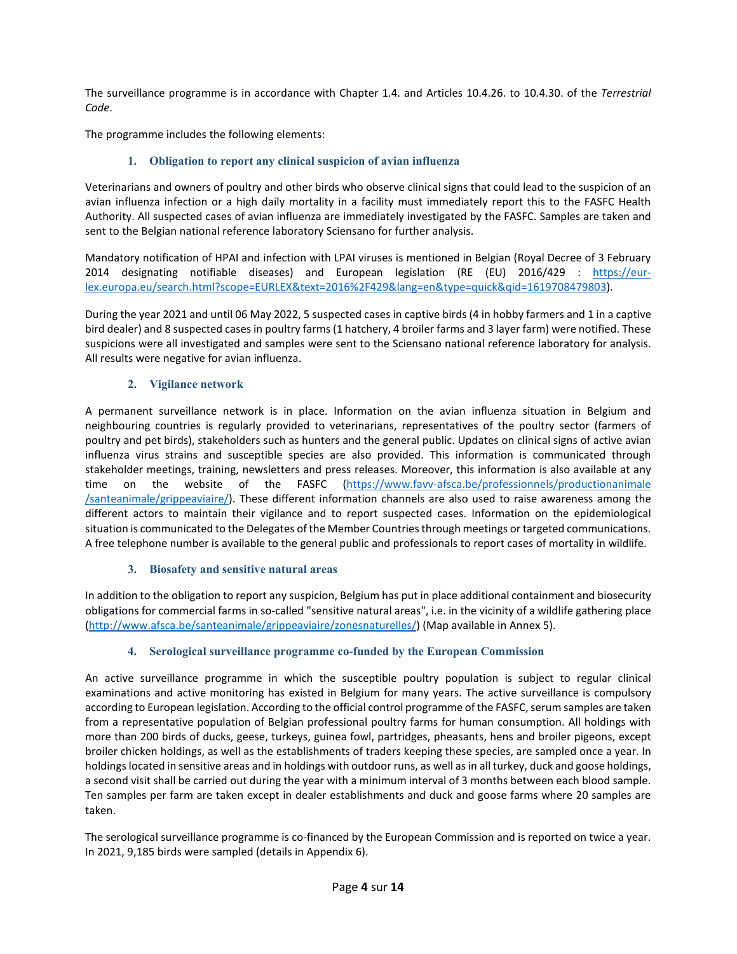The surveillance programme is in accordance with Chapter 1.4. and Articles 10.4.26. to 10.4.30. of the *Terrestrial Code*.

The programme includes the following elements:

### **1. Obligation to report any clinical suspicion of avian influenza**

Veterinarians and owners of poultry and other birds who observe clinical signs that could lead to the suspicion of an avian influenza infection or a high daily mortality in a facility must immediately report this to the FASFC Health Authority. All suspected cases of avian influenza are immediately investigated by the FASFC. Samples are taken and sent to the Belgian national reference laboratory Sciensano for further analysis.

Mandatory notification of HPAI and infection with LPAI viruses is mentioned in Belgian (Royal Decree of 3 February 2014 designating notifiable diseases) and European legislation (RE (EU) 2016/429 : [https://eur](https://eur-lex.europa.eu/search.html?scope=EURLEX&text=2016%2F429&lang=en&type=quick&qid=1619708479803)[lex.europa.eu/search.html?scope=EURLEX&text=2016%2F429&lang=en&type=quick&qid=1619708479803\)](https://eur-lex.europa.eu/search.html?scope=EURLEX&text=2016%2F429&lang=en&type=quick&qid=1619708479803).

During the year 2021 and until 06 May 2022, 5 suspected cases in captive birds (4 in hobby farmers and 1 in a captive bird dealer) and 8 suspected cases in poultry farms (1 hatchery, 4 broiler farms and 3 layer farm) were notified. These suspicions were all investigated and samples were sent to the Sciensano national reference laboratory for analysis. All results were negative for avian influenza.

### **2. Vigilance network**

A permanent surveillance network is in place. Information on the avian influenza situation in Belgium and neighbouring countries is regularly provided to veterinarians, representatives of the poultry sector (farmers of poultry and pet birds), stakeholders such as hunters and the general public. Updates on clinical signs of active avian influenza virus strains and susceptible species are also provided. This information is communicated through stakeholder meetings, training, newsletters and press releases. Moreover, this information is also available at any time on the website of the FASFC [\(https://www.favv-afsca.be/professionnels/productionanimale](https://www.favv-afsca.be/professionnels/productionanimale%0b/santeanimale/grippeaviaire/) [/santeanimale/grippeaviaire/\)](https://www.favv-afsca.be/professionnels/productionanimale%0b/santeanimale/grippeaviaire/). These different information channels are also used to raise awareness among the different actors to maintain their vigilance and to report suspected cases. Information on the epidemiological situation is communicated to the Delegates of the Member Countries through meetings or targeted communications. A free telephone number is available to the general public and professionals to report cases of mortality in wildlife.

### **3. Biosafety and sensitive natural areas**

In addition to the obligation to report any suspicion, Belgium has put in place additional containment and biosecurity obligations for commercial farms in so-called "sensitive natural areas", i.e. in the vicinity of a wildlife gathering place [\(http://www.afsca.be/santeanimale/grippeaviaire/zonesnaturelles/\)](http://www.afsca.be/santeanimale/grippeaviaire/zonesnaturelles/) (Map available in Annex 5).

### **4. Serological surveillance programme co-funded by the European Commission**

An active surveillance programme in which the susceptible poultry population is subject to regular clinical examinations and active monitoring has existed in Belgium for many years. The active surveillance is compulsory according to European legislation. According to the official control programme of the FASFC, serum samples are taken from a representative population of Belgian professional poultry farms for human consumption. All holdings with more than 200 birds of ducks, geese, turkeys, guinea fowl, partridges, pheasants, hens and broiler pigeons, except broiler chicken holdings, as well as the establishments of traders keeping these species, are sampled once a year. In holdings located in sensitive areas and in holdings with outdoor runs, as well as in all turkey, duck and goose holdings, a second visit shall be carried out during the year with a minimum interval of 3 months between each blood sample. Ten samples per farm are taken except in dealer establishments and duck and goose farms where 20 samples are taken.

The serological surveillance programme is co-financed by the European Commission and is reported on twice a year. In 2021, 9,185 birds were sampled (details in Appendix 6).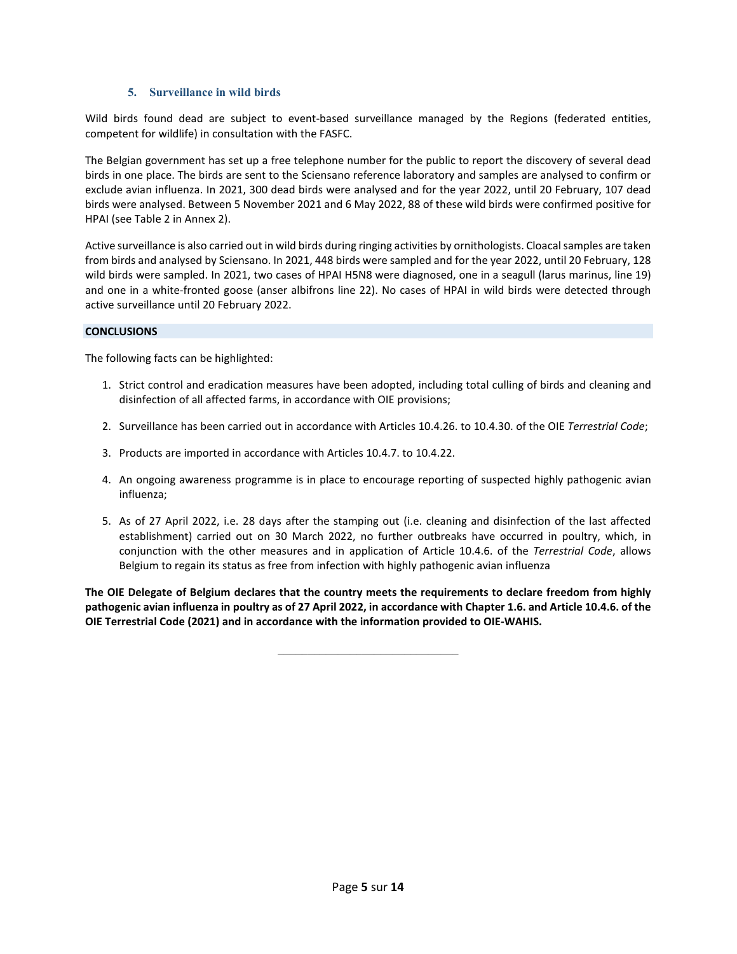#### **5. Surveillance in wild birds**

Wild birds found dead are subject to event-based surveillance managed by the Regions (federated entities, competent for wildlife) in consultation with the FASFC.

The Belgian government has set up a free telephone number for the public to report the discovery of several dead birds in one place. The birds are sent to the Sciensano reference laboratory and samples are analysed to confirm or exclude avian influenza. In 2021, 300 dead birds were analysed and for the year 2022, until 20 February, 107 dead birds were analysed. Between 5 November 2021 and 6 May 2022, 88 of these wild birds were confirmed positive for HPAI (see Table 2 in Annex 2).

Active surveillance is also carried out in wild birds during ringing activities by ornithologists. Cloacal samples are taken from birds and analysed by Sciensano. In 2021, 448 birds were sampled and for the year 2022, until 20 February, 128 wild birds were sampled. In 2021, two cases of HPAI H5N8 were diagnosed, one in a seagull (larus marinus, line 19) and one in a white-fronted goose (anser albifrons line 22). No cases of HPAI in wild birds were detected through active surveillance until 20 February 2022.

#### **CONCLUSIONS**

The following facts can be highlighted:

- 1. Strict control and eradication measures have been adopted, including total culling of birds and cleaning and disinfection of all affected farms, in accordance with OIE provisions;
- 2. Surveillance has been carried out in accordance with Articles 10.4.26. to 10.4.30. of the OIE *Terrestrial Code*;
- 3. Products are imported in accordance with Articles 10.4.7. to 10.4.22.
- 4. An ongoing awareness programme is in place to encourage reporting of suspected highly pathogenic avian influenza;
- 5. As of 27 April 2022, i.e. 28 days after the stamping out (i.e. cleaning and disinfection of the last affected establishment) carried out on 30 March 2022, no further outbreaks have occurred in poultry, which, in conjunction with the other measures and in application of Article 10.4.6. of the *Terrestrial Code*, allows Belgium to regain its status as free from infection with highly pathogenic avian influenza

**The OIE Delegate of Belgium declares that the country meets the requirements to declare freedom from highly pathogenic avian influenza in poultry as of 27 April 2022, in accordance with Chapter 1.6. and Article 10.4.6. of the OIE Terrestrial Code (2021) and in accordance with the information provided to OIE-WAHIS.**

\_\_\_\_\_\_\_\_\_\_\_\_\_\_\_\_\_\_\_\_\_\_\_\_\_\_\_\_\_\_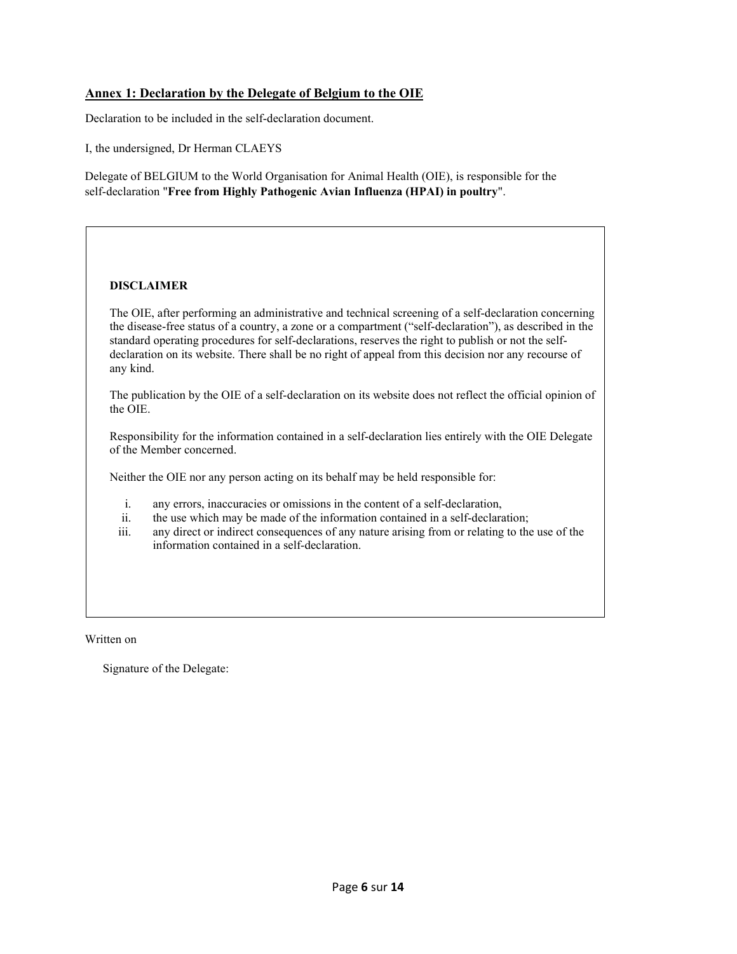### **Annex 1: Declaration by the Delegate of Belgium to the OIE**

Declaration to be included in the self-declaration document.

I, the undersigned, Dr Herman CLAEYS

Delegate of BELGIUM to the World Organisation for Animal Health (OIE), is responsible for the self-declaration "**Free from Highly Pathogenic Avian Influenza (HPAI) in poultry**".

#### **DISCLAIMER**

The OIE, after performing an administrative and technical screening of a self-declaration concerning the disease-free status of a country, a zone or a compartment ("self-declaration"), as described in the standard operating procedures for self-declarations, reserves the right to publish or not the selfdeclaration on its website. There shall be no right of appeal from this decision nor any recourse of any kind.

The publication by the OIE of a self-declaration on its website does not reflect the official opinion of the OIE.

Responsibility for the information contained in a self-declaration lies entirely with the OIE Delegate of the Member concerned.

Neither the OIE nor any person acting on its behalf may be held responsible for:

- i. any errors, inaccuracies or omissions in the content of a self-declaration,
- ii. the use which may be made of the information contained in a self-declaration;
- iii. any direct or indirect consequences of any nature arising from or relating to the use of the information contained in a self-declaration.

Written on

Signature of the Delegate: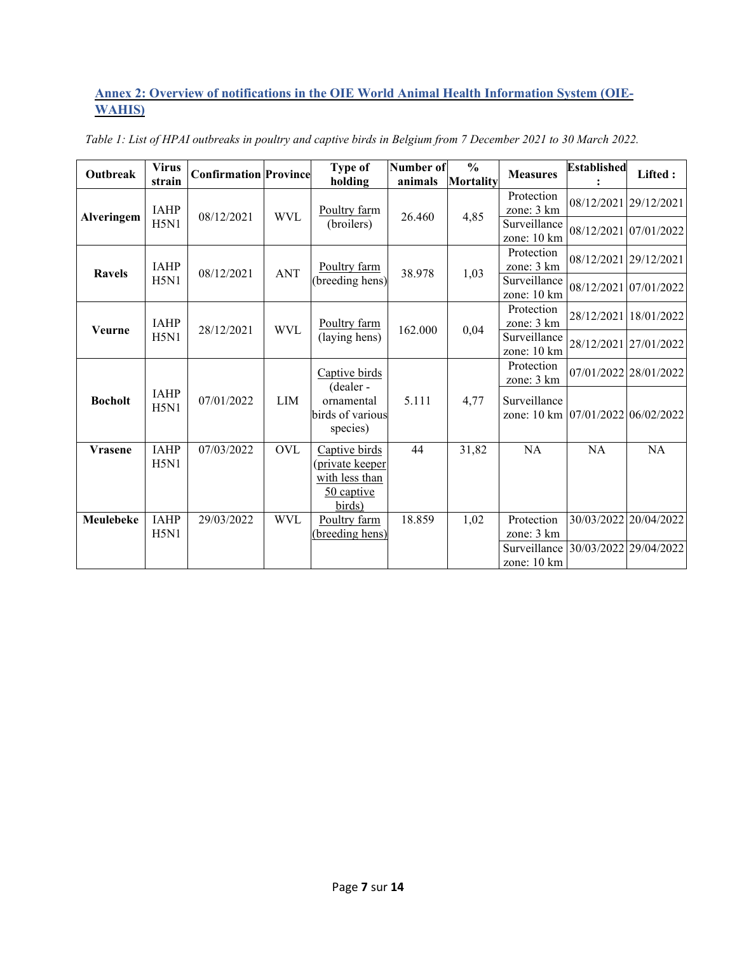## **Annex 2: Overview of notifications in the OIE World Animal Health Information System (OIE-WAHIS)**

| Outbreak          | <b>Virus</b><br>strain | <b>Confirmation Province</b> |            | Type of<br>holding                         | <b>Number of</b><br>animals | $\frac{0}{0}$<br>Mortality | <b>Measures</b>                                   | <b>Established</b> | Lifted:               |
|-------------------|------------------------|------------------------------|------------|--------------------------------------------|-----------------------------|----------------------------|---------------------------------------------------|--------------------|-----------------------|
|                   | <b>IAHP</b>            | 08/12/2021                   | <b>WVL</b> | Poultry farm                               | 26.460                      | 4,85                       | Protection<br>zone: 3 km                          |                    | 08/12/2021 29/12/2021 |
| <b>Alveringem</b> | H5N1                   |                              |            | (broilers)                                 |                             |                            | Surveillance<br>zone: 10 km                       |                    | 08/12/2021 07/01/2022 |
| <b>Ravels</b>     | <b>IAHP</b>            | 08/12/2021                   | <b>ANT</b> | Poultry farm                               | 38.978                      | 1,03                       | Protection<br>zone: 3 km                          |                    | 08/12/2021 29/12/2021 |
|                   | H5N1                   |                              |            | (breeding hens)                            |                             |                            | Surveillance<br>zone: 10 km                       |                    | 08/12/2021 07/01/2022 |
| <b>Veurne</b>     | <b>IAHP</b>            | 28/12/2021                   | <b>WVL</b> | Poultry farm                               | 162.000                     | 0,04                       | Protection<br>zone: 3 km                          |                    | 28/12/2021 18/01/2022 |
|                   | H5N1                   |                              |            | (laying hens)                              |                             |                            | Surveillance<br>zone: 10 km                       |                    | 28/12/2021 27/01/2022 |
|                   |                        |                              |            | Captive birds<br>(dealer-                  |                             |                            | Protection<br>zone: 3 km                          |                    | 07/01/2022 28/01/2022 |
| <b>Bocholt</b>    | <b>IAHP</b><br>H5N1    | 07/01/2022                   | <b>LIM</b> | ornamental<br>birds of various<br>species) | 5.111                       | 4,77                       | Surveillance<br>zone: 10 km 07/01/2022 06/02/2022 |                    |                       |
| <b>Vrasene</b>    | <b>IAHP</b><br>H5N1    | 07/03/2022                   | <b>OVL</b> | Captive birds<br><u>(private keeper</u>    | 44                          | 31,82                      | NA                                                | <b>NA</b>          | NA                    |
|                   |                        |                              |            | with less than<br>50 captive<br>birds)     |                             |                            |                                                   |                    |                       |
| Meulebeke         | <b>IAHP</b><br>H5N1    | 29/03/2022                   | <b>WVL</b> | Poultry farm<br>breeding hens)             | 18.859                      | 1,02                       | Protection<br>zone: 3 km                          |                    | 30/03/2022 20/04/2022 |
|                   |                        |                              |            |                                            |                             |                            | Surveillance 30/03/2022 29/04/2022<br>zone: 10 km |                    |                       |

*Table 1: List of HPAI outbreaks in poultry and captive birds in Belgium from 7 December 2021 to 30 March 2022.*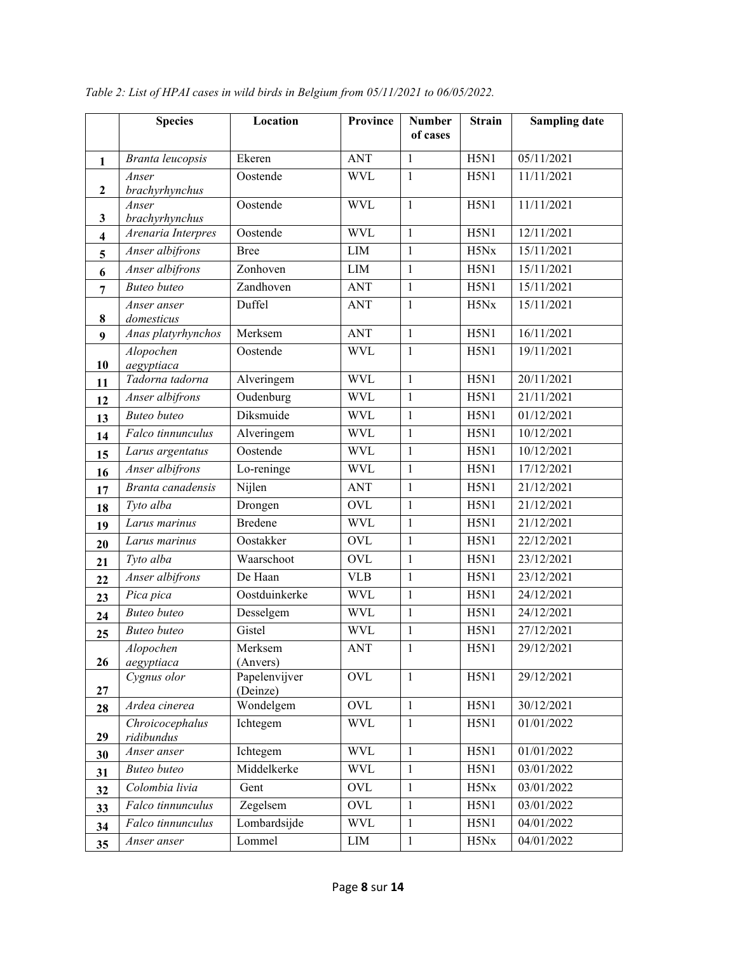|                | <b>Species</b>                   | Location                  | <b>Province</b> | <b>Number</b><br>of cases    | <b>Strain</b>      | <b>Sampling date</b> |
|----------------|----------------------------------|---------------------------|-----------------|------------------------------|--------------------|----------------------|
|                |                                  |                           |                 |                              |                    |                      |
| $\mathbf{1}$   | Branta leucopsis                 | Ekeren                    | <b>ANT</b>      | $\mathbf{1}$                 | H5N1               | 05/11/2021           |
| $\mathbf{2}$   | Anser<br>brachyrhynchus          | Oostende                  | <b>WVL</b>      | $\mathbf{1}$                 | H5N1               | 11/11/2021           |
|                | Anser                            | Oostende                  | <b>WVL</b>      | $\mathbf{1}$                 | H5N1               | 11/11/2021           |
| 3              | brachyrhynchus                   |                           |                 |                              |                    |                      |
| 4              | Arenaria Interpres               | Oostende                  | <b>WVL</b>      | $\mathbf{1}$                 | H5N1               | 12/11/2021           |
| 5              | Anser albifrons                  | <b>Bree</b>               | $\text{LIM}{}$  | $\mathbf{1}$                 | H5Nx               | 15/11/2021           |
| 6              | Anser albifrons                  | Zonhoven                  | LIM             | $\mathbf{1}$                 | H5N1               | 15/11/2021           |
| $\overline{7}$ | <b>Buteo</b> buteo               | Zandhoven                 | <b>ANT</b>      | $\mathbf{1}$                 | H5N1               | 15/11/2021           |
|                | Anser anser                      | Duffel                    | <b>ANT</b>      | $\mathbf{1}$                 | H5Nx               | 15/11/2021           |
| 8              | domesticus<br>Anas platyrhynchos | Merksem                   | <b>ANT</b>      | $\mathbf{1}$                 | H5N1               | 16/11/2021           |
| 9              | Alopochen                        | Oostende                  | <b>WVL</b>      | $\mathbf{1}$                 | H5N1               | 19/11/2021           |
| 10             | aegyptiaca                       |                           |                 |                              |                    |                      |
| 11             | Tadorna tadorna                  | Alveringem                | <b>WVL</b>      | $\mathbf{1}$                 | H5N1               | 20/11/2021           |
| 12             | Anser albifrons                  | Oudenburg                 | <b>WVL</b>      | $\mathbf{1}$                 | H5N1               | 21/11/2021           |
| 13             | <b>Buteo</b> buteo               | Diksmuide                 | <b>WVL</b>      | $\mathbf{1}$                 | H5N1               | 01/12/2021           |
| 14             | Falco tinnunculus                | Alveringem                | <b>WVL</b>      | $\mathbf{1}$                 | H5N1               | 10/12/2021           |
| 15             | Larus argentatus                 | Oostende                  | <b>WVL</b>      | $\mathbf{1}$                 | H5N1               | 10/12/2021           |
| 16             | Anser albifrons                  | Lo-reninge                | <b>WVL</b>      | $\mathbf{1}$                 | H5N1               | 17/12/2021           |
| 17             | $\overline{Br}$ anta canadensis  | Nijlen                    | <b>ANT</b>      | $\mathbf{1}$                 | H5N1               | 21/12/2021           |
| 18             | Tyto alba                        | Drongen                   | <b>OVL</b>      | $\mathbf{1}$                 | H5N1               | 21/12/2021           |
| 19             | Larus marinus                    | <b>Bredene</b>            | <b>WVL</b>      | $\mathbf{1}$                 | H5N1               | 21/12/2021           |
| 20             | Larus marinus                    | Oostakker                 | <b>OVL</b>      | $\mathbf{1}$                 | H5N1               | 22/12/2021           |
| 21             | Tyto alba                        | Waarschoot                | OVL             | $\mathbf{1}$                 | H5N1               | 23/12/2021           |
| 22             | Anser albifrons                  | De Haan                   | <b>VLB</b>      | $\mathbf{1}$                 | $\overline{H}$ 5N1 | 23/12/2021           |
| 23             | Pica pica                        | Oostduinkerke             | <b>WVL</b>      | $\mathbf{1}$                 | H5N1               | 24/12/2021           |
| 24             | <b>Buteo</b> buteo               | Desselgem                 | <b>WVL</b>      | $\mathbf{1}$                 | H5N1               | 24/12/2021           |
| 25             | <b>Buteo</b> buteo               | Gistel                    | <b>WVL</b>      | $\mathbf{1}$                 | H5N1               | 27/12/2021           |
|                | Alopochen                        | Merksem                   | ANT             | 1                            | H5N1               | 29/12/2021           |
| 26             | aegyptiaca<br>Cygnus olor        | (Anvers)<br>Papelenvijver | <b>OVL</b>      | $\mathbf{1}$                 | H5N1               | 29/12/2021           |
| 27             |                                  | (Deinze)                  |                 |                              |                    |                      |
| 28             | Ardea cinerea                    | Wondelgem                 | OVL             | $\mathbf{1}$                 | H5N1               | 30/12/2021           |
|                | Chroicocephalus                  | Ichtegem                  | <b>WVL</b>      | $\mathbf{1}$                 | H5N1               | 01/01/2022           |
| 29             | ridibundus<br>Anser anser        | Ichtegem                  | <b>WVL</b>      | $\mathbf{1}$                 | H5N1               | 01/01/2022           |
| 30             | <b>Buteo</b> buteo               | Middelkerke               | <b>WVL</b>      | $\mathbf{1}$                 | H5N1               | 03/01/2022           |
| 31             | Colombia livia                   | Gent                      | <b>OVL</b>      | $\mathbf{1}$                 | H5Nx               | 03/01/2022           |
| 32             | Falco tinnunculus                | Zegelsem                  | <b>OVL</b>      |                              | H5N1               | 03/01/2022           |
| 33             | Falco tinnunculus                | Lombardsijde              | <b>WVL</b>      | $\mathbf{1}$<br>$\mathbf{1}$ | H5N1               | 04/01/2022           |
| 34             |                                  |                           |                 |                              |                    |                      |
| 35             | Anser anser                      | Lommel                    | ${\rm LIM}$     | $\mathbf{1}$                 | H5Nx               | 04/01/2022           |

*Table 2: List of HPAI cases in wild birds in Belgium from 05/11/2021 to 06/05/2022.*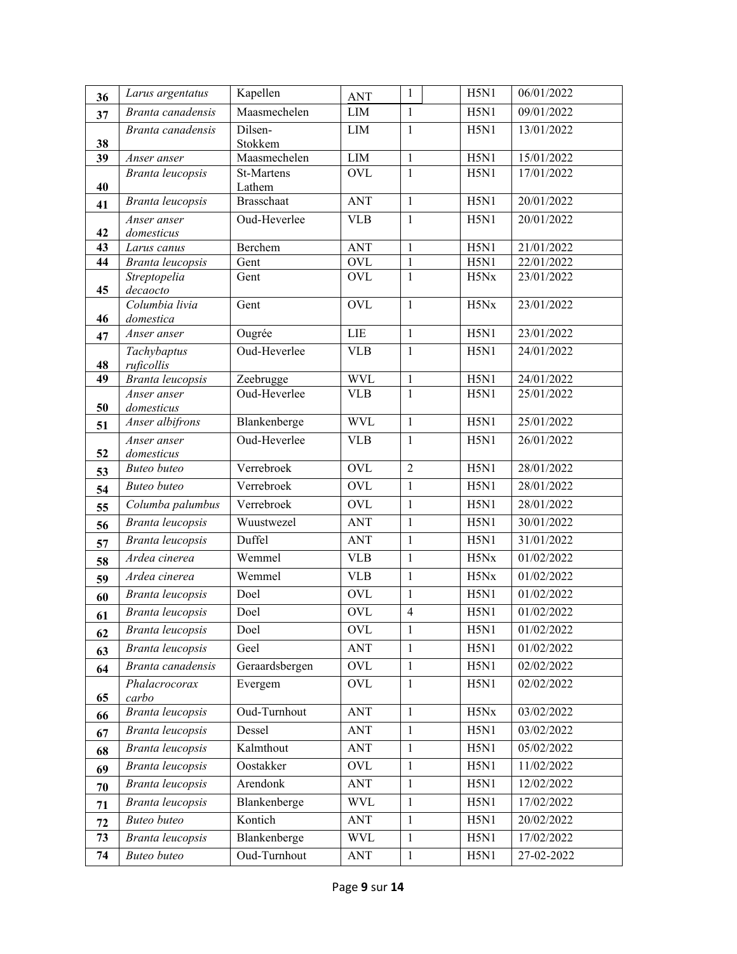| 36 | Larus argentatus              | Kapellen             | <b>ANT</b> | 1              | H5N1              | 06/01/2022 |
|----|-------------------------------|----------------------|------------|----------------|-------------------|------------|
| 37 | Branta canadensis             | Maasmechelen         | <b>LIM</b> | $\mathbf{1}$   | H5N1              | 09/01/2022 |
|    | Branta canadensis             | Dilsen-              | <b>LIM</b> | $\mathbf{1}$   | H5N1              | 13/01/2022 |
| 38 |                               | Stokkem              |            |                |                   |            |
| 39 | Anser anser                   | Maasmechelen         | LIM        | $\mathbf{1}$   | H5N1              | 15/01/2022 |
| 40 | Branta leucopsis              | St-Martens<br>Lathem | <b>OVL</b> | $\mathbf{1}$   | H5N1              | 17/01/2022 |
| 41 | Branta leucopsis              | <b>Brasschaat</b>    | <b>ANT</b> | $\mathbf{1}$   | H5N1              | 20/01/2022 |
|    | Anser anser                   | Oud-Heverlee         | <b>VLB</b> | $\mathbf{1}$   | H5N1              | 20/01/2022 |
| 42 | domesticus                    |                      |            |                |                   |            |
| 43 | Larus canus                   | Berchem              | <b>ANT</b> | 1              | H5N1              | 21/01/2022 |
| 44 | Branta leucopsis              | Gent                 | OVL        | 1              | H5N1              | 22/01/2022 |
| 45 | Streptopelia<br>decaocto      | Gent                 | <b>OVL</b> | $\mathbf{1}$   | H5Nx              | 23/01/2022 |
|    | Columbia livia                | Gent                 | <b>OVL</b> | $\mathbf{1}$   | H5Nx              | 23/01/2022 |
| 46 | domestica                     |                      |            |                |                   |            |
| 47 | Anser anser                   | Ougrée               | <b>LIE</b> | $\mathbf{1}$   | H5N1              | 23/01/2022 |
|    | Tachybaptus                   | Oud-Heverlee         | <b>VLB</b> | $\mathbf{1}$   | H5N1              | 24/01/2022 |
| 48 | ruficollis                    |                      |            |                |                   |            |
| 49 | Branta leucopsis              | Zeebrugge            | <b>WVL</b> | $\mathbf{1}$   | H5N1              | 24/01/2022 |
|    | Anser anser                   | Oud-Heverlee         | <b>VLB</b> | $\mathbf{1}$   | H5N1              | 25/01/2022 |
| 50 | domesticus<br>Anser albifrons | Blankenberge         | <b>WVL</b> | $\mathbf{1}$   | H5N1              | 25/01/2022 |
| 51 | Anser anser                   | Oud-Heverlee         | <b>VLB</b> | 1              | H5N1              | 26/01/2022 |
| 52 | domesticus                    |                      |            |                |                   |            |
| 53 | <b>Buteo</b> buteo            | Verrebroek           | <b>OVL</b> | $\overline{2}$ | H5N1              | 28/01/2022 |
| 54 | <b>Buteo</b> buteo            | Verrebroek           | <b>OVL</b> | $\mathbf{1}$   | H5N1              | 28/01/2022 |
| 55 | Columba palumbus              | Verrebroek           | <b>OVL</b> | $\mathbf{1}$   | H5N1              | 28/01/2022 |
| 56 | Branta leucopsis              | Wuustwezel           | <b>ANT</b> | $\mathbf{1}$   | H5N1              | 30/01/2022 |
| 57 | Branta leucopsis              | Duffel               | <b>ANT</b> | $\mathbf{1}$   | H5N1              | 31/01/2022 |
| 58 | Ardea cinerea                 | Wemmel               | <b>VLB</b> | 1              | H5Nx              | 01/02/2022 |
| 59 | $\overline{Ardea}$ cinerea    | Wemmel               | <b>VLB</b> | $\mathbf{1}$   | H5Nx              | 01/02/2022 |
| 60 | Branta leucopsis              | Doel                 | <b>OVL</b> | $\mathbf{1}$   | H5N1              | 01/02/2022 |
| 61 | Branta leucopsis              | Doel                 | <b>OVL</b> | $\overline{4}$ | H5N1              | 01/02/2022 |
| 62 | Branta leucopsis              | Doel                 | OVL        | 1              | H5N1              | 01/02/2022 |
| 63 | Branta leucopsis              | Geel                 | <b>ANT</b> | $\mathbf{1}$   | $\overline{H5N1}$ | 01/02/2022 |
| 64 | Branta canadensis             | Geraardsbergen       | OVL        | 1              | H5N1              | 02/02/2022 |
|    | Phalacrocorax                 | Evergem              | <b>OVL</b> | $\mathbf{1}$   | H5N1              | 02/02/2022 |
| 65 | carbo                         |                      |            |                |                   |            |
| 66 | Branta leucopsis              | Oud-Turnhout         | <b>ANT</b> | $\mathbf{1}$   | H5Nx              | 03/02/2022 |
| 67 | Branta leucopsis              | Dessel               | <b>ANT</b> | $\mathbf{1}$   | H5N1              | 03/02/2022 |
| 68 | Branta leucopsis              | Kalmthout            | <b>ANT</b> | $\mathbf{1}$   | H5N1              | 05/02/2022 |
| 69 | Branta leucopsis              | Oostakker            | OVL        | 1              | H5N1              | 11/02/2022 |
| 70 | Branta leucopsis              | Arendonk             | <b>ANT</b> | 1              | H5N1              | 12/02/2022 |
| 71 | Branta leucopsis              | Blankenberge         | <b>WVL</b> | $\mathbf{1}$   | H5N1              | 17/02/2022 |
| 72 | <b>Buteo</b> buteo            | Kontich              | <b>ANT</b> | $\mathbf{1}$   | H5N1              | 20/02/2022 |
| 73 | Branta leucopsis              | Blankenberge         | <b>WVL</b> | $\mathbf{1}$   | H5N1              | 17/02/2022 |
| 74 | <b>Buteo</b> buteo            | Oud-Turnhout         | ANT        | $\mathbf{1}$   | H5N1              | 27-02-2022 |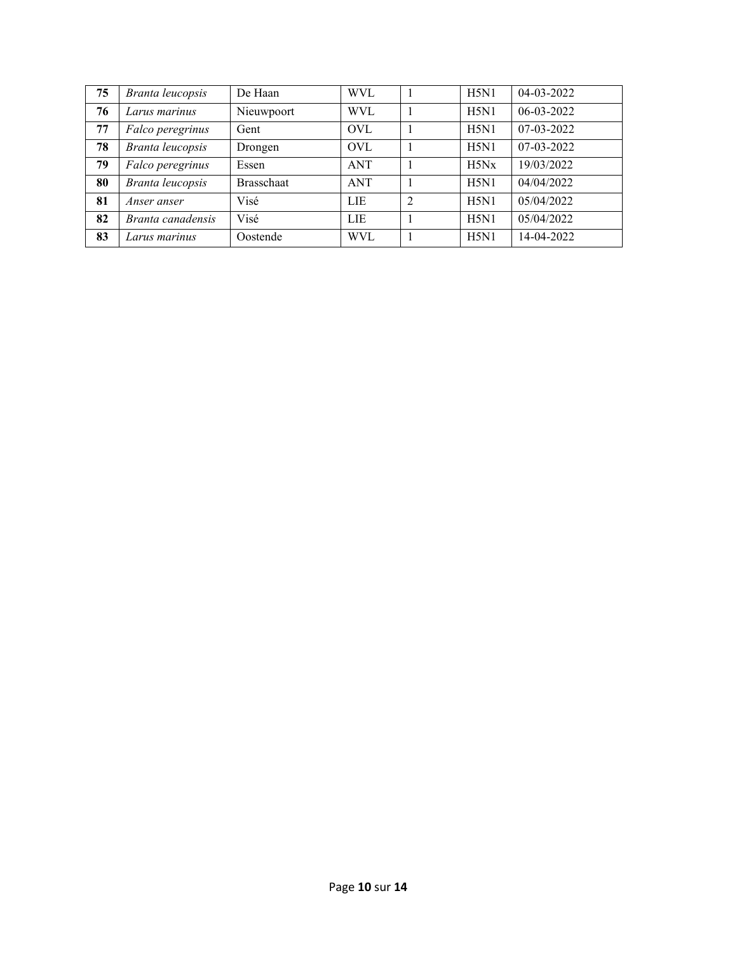| 75 | Branta leucopsis  | De Haan           | <b>WVL</b> |               | H5N1 | 04-03-2022 |
|----|-------------------|-------------------|------------|---------------|------|------------|
| 76 | Larus marinus     | Nieuwpoort        | <b>WVL</b> |               | H5N1 | 06-03-2022 |
| 77 | Falco peregrinus  | Gent              | <b>OVL</b> |               | H5N1 | 07-03-2022 |
| 78 | Branta leucopsis  | Drongen           | <b>OVL</b> |               | H5N1 | 07-03-2022 |
| 79 | Falco peregrinus  | Essen             | <b>ANT</b> |               | H5Nx | 19/03/2022 |
| 80 | Branta leucopsis  | <b>Brasschaat</b> | <b>ANT</b> |               | H5N1 | 04/04/2022 |
| 81 | Anser anser       | Visé              | <b>LIE</b> | $\mathcal{D}$ | H5N1 | 05/04/2022 |
| 82 | Branta canadensis | Visé              | <b>LIE</b> |               | H5N1 | 05/04/2022 |
| 83 | Larus marinus     | Oostende          | <b>WVL</b> |               | H5N1 | 14-04-2022 |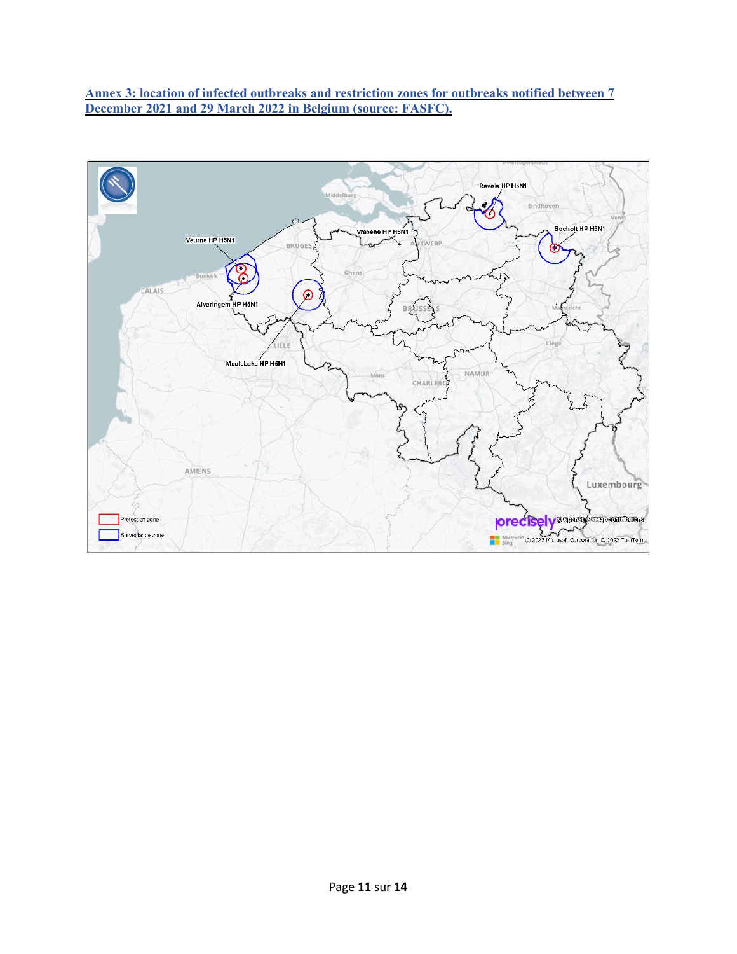**Annex 3: location of infected outbreaks and restriction zones for outbreaks notified between 7 December 2021 and 29 March 2022 in Belgium (source: FASFC).**

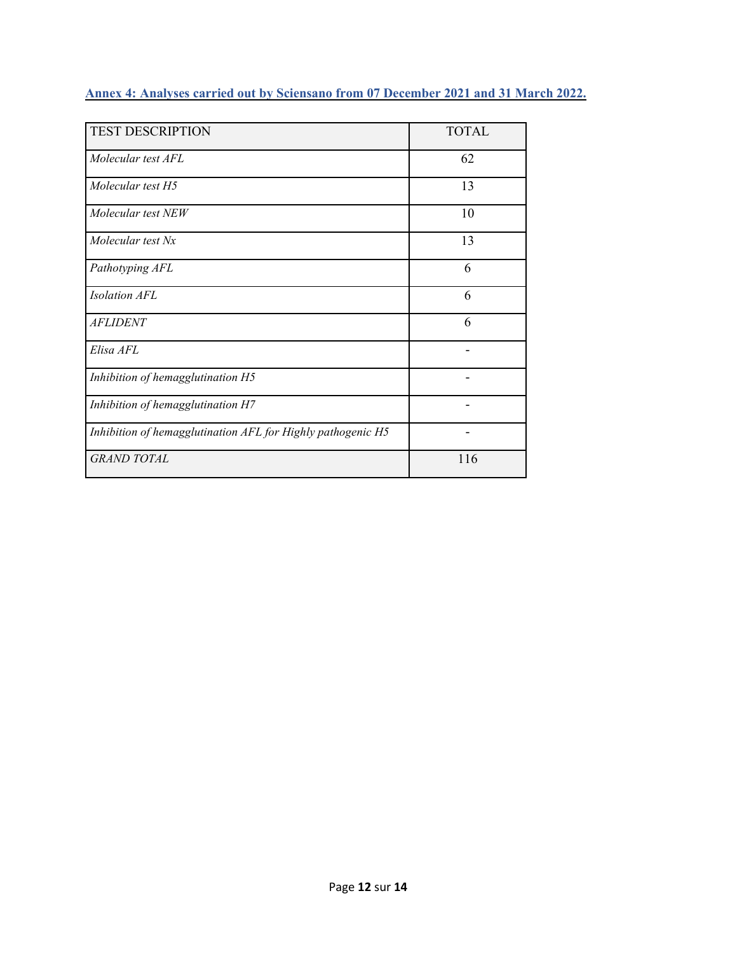|  |  | Annex 4: Analyses carried out by Sciensano from 07 December 2021 and 31 March 2022. |  |
|--|--|-------------------------------------------------------------------------------------|--|
|--|--|-------------------------------------------------------------------------------------|--|

| <b>TEST DESCRIPTION</b>                                     | <b>TOTAL</b> |
|-------------------------------------------------------------|--------------|
| Molecular test AFL                                          | 62           |
| Molecular test H5                                           | 13           |
| Molecular test NEW                                          | 10           |
| Molecular test Nx                                           | 13           |
| Pathotyping AFL                                             | 6            |
| <b>Isolation AFL</b>                                        | 6            |
| <b>AFLIDENT</b>                                             | 6            |
| Elisa AFL                                                   |              |
| Inhibition of hemagglutination H5                           |              |
| Inhibition of hemagglutination H7                           |              |
| Inhibition of hemagglutination AFL for Highly pathogenic H5 |              |
| <b>GRAND TOTAL</b>                                          | 116          |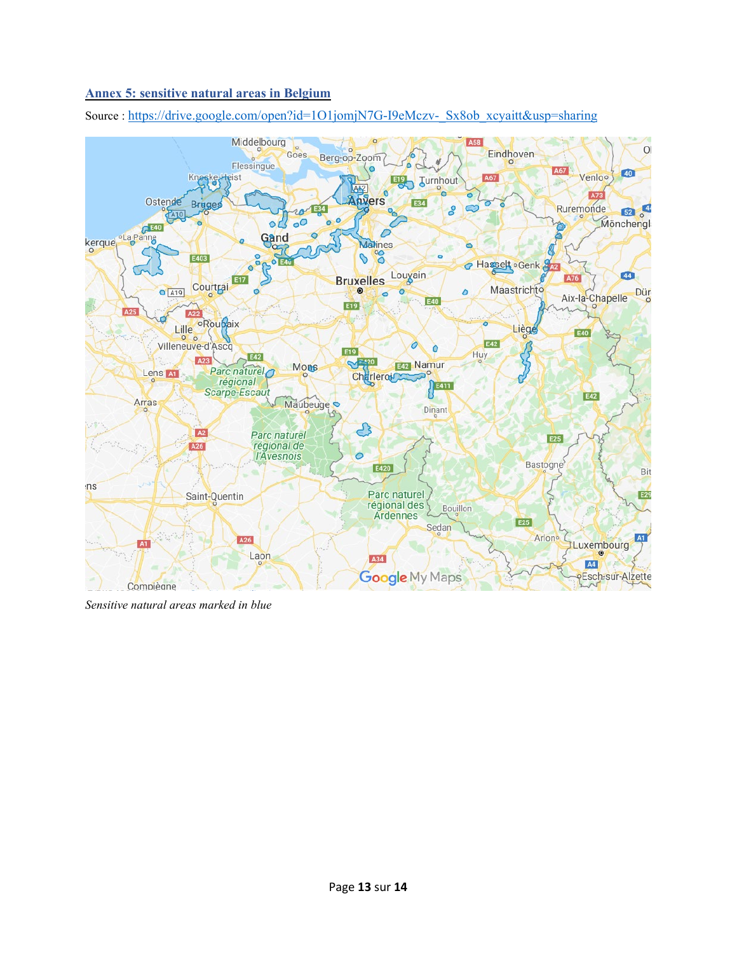### **Annex 5: sensitive natural areas in Belgium**

Source : [https://drive.google.com/open?id=1O1jomjN7G-I9eMczv-\\_Sx8ob\\_xcyaitt&usp=sharing](https://drive.google.com/open?id=1O1jomjN7G-I9eMczv-_Sx8ob_xcyaitt&usp=sharing)



*Sensitive natural areas marked in blue*